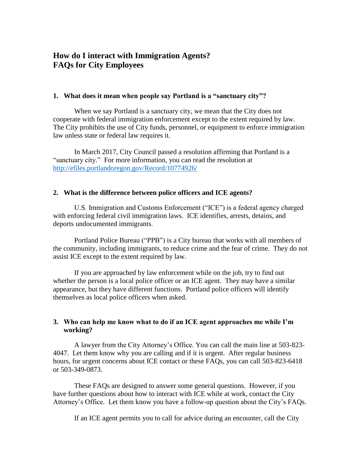# **How do I interact with Immigration Agents? FAQs for City Employees**

#### **1. What does it mean when people say Portland is a "sanctuary city"?**

When we say Portland is a sanctuary city, we mean that the City does not cooperate with federal immigration enforcement except to the extent required by law. The City prohibits the use of City funds, personnel, or equipment to enforce immigration law unless state or federal law requires it.

In March 2017, City Council passed a resolution affirming that Portland is a "sanctuary city." For more information, you can read the resolution at <http://efiles.portlandoregon.gov/Record/10774926/>

#### **2. What is the difference between police officers and ICE agents?**

U.S. Immigration and Customs Enforcement ("ICE") is a federal agency charged with enforcing federal civil immigration laws. ICE identifies, arrests, detains, and deports undocumented immigrants.

Portland Police Bureau ("PPB") is a City bureau that works with all members of the community, including immigrants, to reduce crime and the fear of crime. They do not assist ICE except to the extent required by law.

If you are approached by law enforcement while on the job, try to find out whether the person is a local police officer or an ICE agent. They may have a similar appearance, but they have different functions. Portland police officers will identify themselves as local police officers when asked.

## **3. Who can help me know what to do if an ICE agent approaches me while I'm working?**

A lawyer from the City Attorney's Office. You can call the main line at 503-823- 4047. Let them know why you are calling and if it is urgent. After regular business hours, for urgent concerns about ICE contact or these FAQs, you can call 503-823-6418 or 503-349-0873.

These FAQs are designed to answer some general questions. However, if you have further questions about how to interact with ICE while at work, contact the City Attorney's Office. Let them know you have a follow-up question about the City's FAQs.

If an ICE agent permits you to call for advice during an encounter, call the City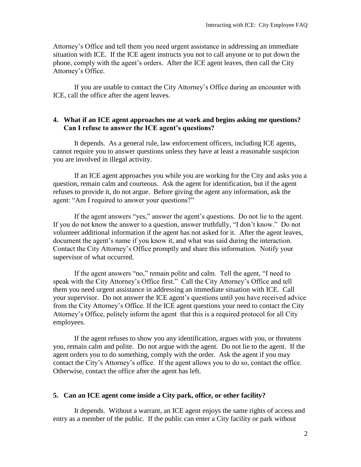Attorney's Office and tell them you need urgent assistance in addressing an immediate situation with ICE. If the ICE agent instructs you not to call anyone or to put down the phone, comply with the agent's orders. After the ICE agent leaves, then call the City Attorney's Office.

If you are unable to contact the City Attorney's Office during an encounter with ICE, call the office after the agent leaves.

## **4. What if an ICE agent approaches me at work and begins asking me questions? Can I refuse to answer the ICE agent's questions?**

It depends. As a general rule, law enforcement officers, including ICE agents, cannot require you to answer questions unless they have at least a reasonable suspicion you are involved in illegal activity.

If an ICE agent approaches you while you are working for the City and asks you a question, remain calm and courteous. Ask the agent for identification, but if the agent refuses to provide it, do not argue. Before giving the agent any information, ask the agent: "Am I required to answer your questions?"

If the agent answers "yes," answer the agent's questions. Do not lie to the agent. If you do not know the answer to a question, answer truthfully, "I don't know." Do not volunteer additional information if the agent has not asked for it. After the agent leaves, document the agent's name if you know it, and what was said during the interaction. Contact the City Attorney's Office promptly and share this information. Notify your supervisor of what occurred.

If the agent answers "no," remain polite and calm. Tell the agent, "I need to speak with the City Attorney's Office first." Call the City Attorney's Office and tell them you need urgent assistance in addressing an immediate situation with ICE. Call your supervisor. Do not answer the ICE agent's questions until you have received advice from the City Attorney's Office. If the ICE agent questions your need to contact the City Attorney's Office, politely inform the agent that this is a required protocol for all City employees.

If the agent refuses to show you any identification, argues with you, or threatens you, remain calm and polite. Do not argue with the agent. Do not lie to the agent. If the agent orders you to do something, comply with the order. Ask the agent if you may contact the City's Attorney's office. If the agent allows you to do so, contact the office. Otherwise, contact the office after the agent has left.

## **5. Can an ICE agent come inside a City park, office, or other facility?**

It depends. Without a warrant, an ICE agent enjoys the same rights of access and entry as a member of the public. If the public can enter a City facility or park without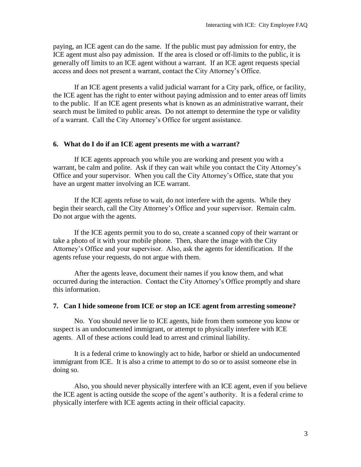paying, an ICE agent can do the same. If the public must pay admission for entry, the ICE agent must also pay admission. If the area is closed or off-limits to the public, it is generally off limits to an ICE agent without a warrant. If an ICE agent requests special access and does not present a warrant, contact the City Attorney's Office.

If an ICE agent presents a valid judicial warrant for a City park, office, or facility, the ICE agent has the right to enter without paying admission and to enter areas off limits to the public. If an ICE agent presents what is known as an administrative warrant, their search must be limited to public areas. Do not attempt to determine the type or validity of a warrant. Call the City Attorney's Office for urgent assistance.

#### **6. What do I do if an ICE agent presents me with a warrant?**

If ICE agents approach you while you are working and present you with a warrant, be calm and polite. Ask if they can wait while you contact the City Attorney's Office and your supervisor. When you call the City Attorney's Office, state that you have an urgent matter involving an ICE warrant.

If the ICE agents refuse to wait, do not interfere with the agents. While they begin their search, call the City Attorney's Office and your supervisor. Remain calm. Do not argue with the agents.

If the ICE agents permit you to do so, create a scanned copy of their warrant or take a photo of it with your mobile phone. Then, share the image with the City Attorney's Office and your supervisor. Also, ask the agents for identification. If the agents refuse your requests, do not argue with them.

After the agents leave, document their names if you know them, and what occurred during the interaction. Contact the City Attorney's Office promptly and share this information.

#### **7. Can I hide someone from ICE or stop an ICE agent from arresting someone?**

No. You should never lie to ICE agents, hide from them someone you know or suspect is an undocumented immigrant, or attempt to physically interfere with ICE agents. All of these actions could lead to arrest and criminal liability.

It is a federal crime to knowingly act to hide, harbor or shield an undocumented immigrant from ICE. It is also a crime to attempt to do so or to assist someone else in doing so.

Also, you should never physically interfere with an ICE agent, even if you believe the ICE agent is acting outside the scope of the agent's authority. It is a federal crime to physically interfere with ICE agents acting in their official capacity.